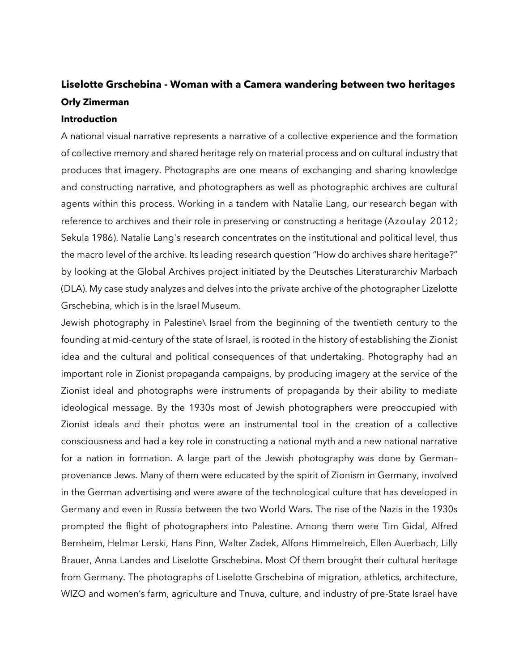# **Liselotte Grschebina - Woman with a Camera wandering between two heritages Orly Zimerman**

#### **Introduction**

A national visual narrative represents a narrative of a collective experience and the formation of collective memory and shared heritage rely on material process and on cultural industry that produces that imagery. Photographs are one means of exchanging and sharing knowledge and constructing narrative, and photographers as well as photographic archives are cultural agents within this process. Working in a tandem with Natalie Lang, our research began with reference to archives and their role in preserving or constructing a heritage (Azoulay 2012; Sekula 1986). Natalie Lang's research concentrates on the institutional and political level, thus the macro level of the archive. Its leading research question "How do archives share heritage?" by looking at the Global Archives project initiated by the Deutsches Literaturarchiv Marbach (DLA). My case study analyzes and delves into the private archive of the photographer Lizelotte Grschebina, which is in the Israel Museum.

Jewish photography in Palestine\ Israel from the beginning of the twentieth century to the founding at mid-century of the state of Israel, is rooted in the history of establishing the Zionist idea and the cultural and political consequences of that undertaking. Photography had an important role in Zionist propaganda campaigns, by producing imagery at the service of the Zionist ideal and photographs were instruments of propaganda by their ability to mediate ideological message. By the 1930s most of Jewish photographers were preoccupied with Zionist ideals and their photos were an instrumental tool in the creation of a collective consciousness and had a key role in constructing a national myth and a new national narrative for a nation in formation. A large part of the Jewish photography was done by German– provenance Jews. Many of them were educated by the spirit of Zionism in Germany, involved in the German advertising and were aware of the technological culture that has developed in Germany and even in Russia between the two World Wars. The rise of the Nazis in the 1930s prompted the flight of photographers into Palestine. Among them were Tim Gidal, Alfred Bernheim, Helmar Lerski, Hans Pinn, Walter Zadek, Alfons Himmelreich, Ellen Auerbach, Lilly Brauer, Anna Landes and Liselotte Grschebina. Most Of them brought their cultural heritage from Germany. The photographs of Liselotte Grschebina of migration, athletics, architecture, WIZO and women's farm, agriculture and Tnuva, culture, and industry of pre-State Israel have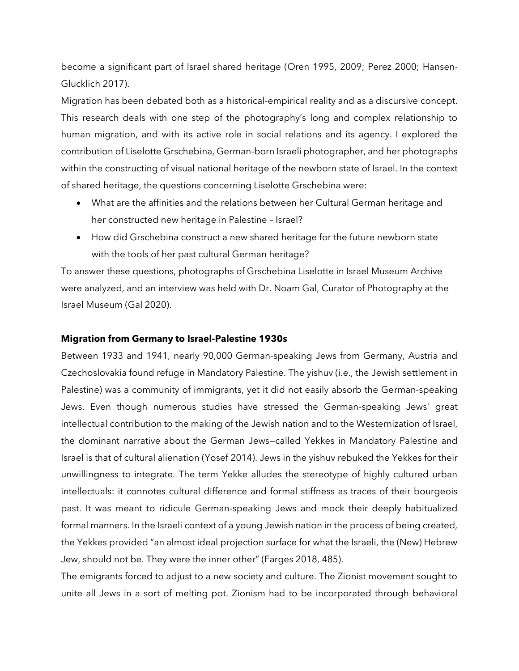become a significant part of Israel shared heritage (Oren 1995, 2009; Perez 2000; Hansen-Glucklich 2017).

Migration has been debated both as a historical-empirical reality and as a discursive concept. This research deals with one step of the photography's long and complex relationship to human migration, and with its active role in social relations and its agency. I explored the contribution of Liselotte Grschebina, German-born Israeli photographer, and her photographs within the constructing of visual national heritage of the newborn state of Israel. In the context of shared heritage, the questions concerning Liselotte Grschebina were:

- What are the affinities and the relations between her Cultural German heritage and her constructed new heritage in Palestine – Israel?
- How did Grschebina construct a new shared heritage for the future newborn state with the tools of her past cultural German heritage?

To answer these questions, photographs of Grschebina Liselotte in Israel Museum Archive were analyzed, and an interview was held with Dr. Noam Gal, Curator of Photography at the Israel Museum (Gal 2020).

### **Migration from Germany to Israel-Palestine 1930s**

Between 1933 and 1941, nearly 90,000 German-speaking Jews from Germany, Austria and Czechoslovakia found refuge in Mandatory Palestine. The yishuv (i.e., the Jewish settlement in Palestine) was a community of immigrants, yet it did not easily absorb the German-speaking Jews. Even though numerous studies have stressed the German-speaking Jews' great intellectual contribution to the making of the Jewish nation and to the Westernization of Israel, the dominant narrative about the German Jews—called Yekkes in Mandatory Palestine and Israel is that of cultural alienation (Yosef 2014). Jews in the yishuv rebuked the Yekkes for their unwillingness to integrate. The term Yekke alludes the stereotype of highly cultured urban intellectuals: it connotes cultural difference and formal stiffness as traces of their bourgeois past. It was meant to ridicule German-speaking Jews and mock their deeply habitualized formal manners. In the Israeli context of a young Jewish nation in the process of being created, the Yekkes provided "an almost ideal projection surface for what the Israeli, the (New) Hebrew Jew, should not be. They were the inner other" (Farges 2018, 485).

The emigrants forced to adjust to a new society and culture. The Zionist movement sought to unite all Jews in a sort of melting pot. Zionism had to be incorporated through behavioral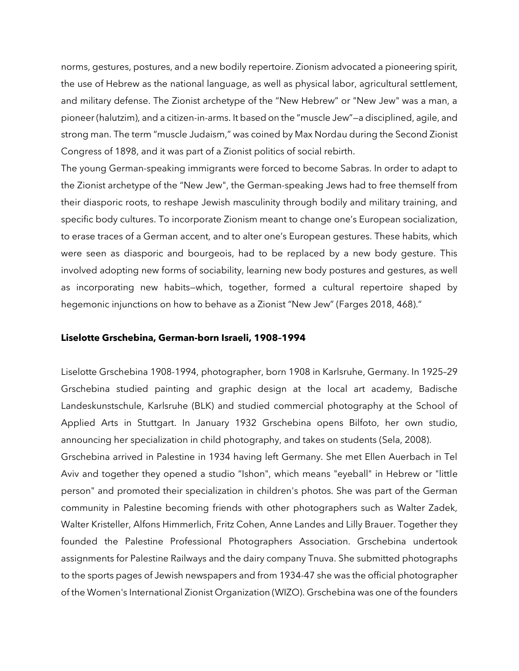norms, gestures, postures, and a new bodily repertoire. Zionism advocated a pioneering spirit, the use of Hebrew as the national language, as well as physical labor, agricultural settlement, and military defense. The Zionist archetype of the "New Hebrew" or "New Jew" was a man, a pioneer (halutzim), and a citizen-in-arms. It based on the "muscle Jew"—a disciplined, agile, and strong man. The term "muscle Judaism," was coined by Max Nordau during the Second Zionist Congress of 1898, and it was part of a Zionist politics of social rebirth.

The young German-speaking immigrants were forced to become Sabras. In order to adapt to the Zionist archetype of the "New Jew", the German-speaking Jews had to free themself from their diasporic roots, to reshape Jewish masculinity through bodily and military training, and specific body cultures. To incorporate Zionism meant to change one's European socialization, to erase traces of a German accent, and to alter one's European gestures. These habits, which were seen as diasporic and bourgeois, had to be replaced by a new body gesture. This involved adopting new forms of sociability, learning new body postures and gestures, as well as incorporating new habits—which, together, formed a cultural repertoire shaped by hegemonic injunctions on how to behave as a Zionist "New Jew" (Farges 2018, 468)."

#### **Liselotte Grschebina, German-born Israeli, 1908–1994**

Liselotte Grschebina 1908-1994, photographer, born 1908 in [Karlsruhe,](https://en.wikipedia.org/wiki/Karlsruhe) [Germany.](https://en.wikipedia.org/wiki/Germany) In 1925–29 Grschebina studied painting and graphic design at the local art academy, Badische Landeskunstschule, Karlsruhe (BLK) and studied commercial photography at the School of Applied Arts in Stuttgart. In January 1932 Grschebina opens Bilfoto, her own studio, announcing her specialization in child photography, and takes on students (Sela, 2008).

Grschebina arrived in Palestine in 1934 having left Germany. She met Ellen Auerbach in Tel Aviv and together they opened a studio "Ishon", which means "eyeball" in Hebrew or "little person" and promoted their specialization in children's photos. She was part of the German community in Palestine becoming friends with other photographers such as Walter Zadek, Walter Kristeller, Alfons Himmerlich, Fritz Cohen, Anne Landes and Lilly Brauer. Together they founded the Palestine Professional Photographers Association. Grschebina undertook assignments for Palestine Railways and the dairy company Tnuva. She submitted photographs to the sports pages of Jewish newspapers and from 1934-47 she was the official photographer of the Women's International Zionist Organization (WIZO). Grschebina was one of the founders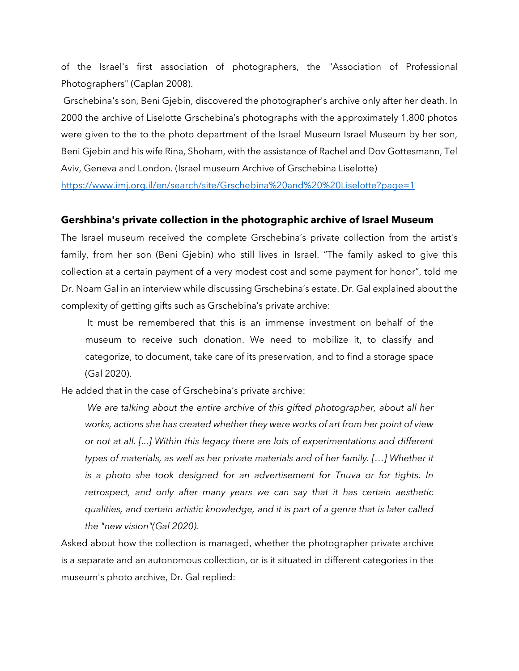of the Israel's first association of photographers, the "Association of Professional Photographers" (Caplan 2008).

Grschebina's son, Beni Gjebin, discovered the photographer's archive only after her death. In 2000 the archive of Liselotte Grschebina's photographs with the approximately 1,800 photos were given to the to the photo department of the Israel Museum Israel Museum by her son, Beni Gjebin and his wife Rina, Shoham, with the assistance of Rachel and Dov Gottesmann, Tel Aviv, Geneva and London. (Israel museum Archive of Grschebina Liselotte)

<https://www.imj.org.il/en/search/site/Grschebina%20and%20%20Liselotte?page=1>

#### **Gershbina's private collection in the photographic archive of Israel Museum**

The Israel museum received the complete Grschebina's private collection from the artist's family, from her son (Beni Gjebin) who still lives in Israel. "The family asked to give this collection at a certain payment of a very modest cost and some payment for honor", told me Dr. Noam Gal in an interview while discussing Grschebina's estate. Dr. Gal explained about the complexity of getting gifts such as Grschebina's private archive:

It must be remembered that this is an immense investment on behalf of the museum to receive such donation. We need to mobilize it, to classify and categorize, to document, take care of its preservation, and to find a storage space (Gal 2020).

He added that in the case of Grschebina's private archive:

*We are talking about the entire archive of this gifted photographer, about all her works, actions she has created whether they were works of art from her point of view or not at all. [...] Within this legacy there are lots of experimentations and different types of materials, as well as her private materials and of her family. […] Whether it is a photo she took designed for an advertisement for Tnuva or for tights. In retrospect, and only after many years we can say that it has certain aesthetic qualities, and certain artistic knowledge, and it is part of a genre that is later called the "new vision"(Gal 2020).*

Asked about how the collection is managed, whether the photographer private archive is a separate and an autonomous collection, or is it situated in different categories in the museum's photo archive, Dr. Gal replied: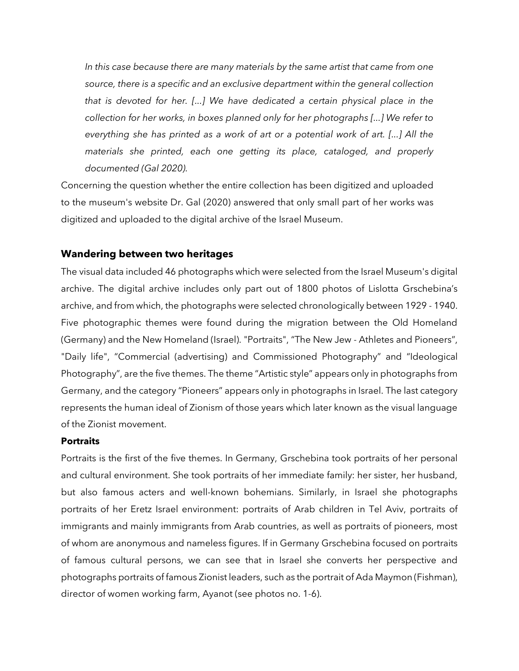*In this case because there are many materials by the same artist that came from one source, there is a specific and an exclusive department within the general collection that is devoted for her. [...] We have dedicated a certain physical place in the collection for her works, in boxes planned only for her photographs [...] We refer to everything she has printed as a work of art or a potential work of art. [...] All the materials she printed, each one getting its place, cataloged, and properly documented (Gal 2020).*

Concerning the question whether the entire collection has been digitized and uploaded to the museum's website Dr. Gal (2020) answered that only small part of her works was digitized and uploaded to the digital archive of the Israel Museum.

### **Wandering between two heritages**

The visual data included 46 photographs which were selected from the Israel Museum's digital archive. The digital archive includes only part out of 1800 photos of Lislotta Grschebina's archive, and from which, the photographs were selected chronologically between 1929 - 1940. Five photographic themes were found during the migration between the Old Homeland (Germany) and the New Homeland (Israel). "Portraits", "The New Jew - Athletes and Pioneers", "Daily life", "Commercial (advertising) and Commissioned Photography" and "Ideological Photography", are the five themes. The theme "Artistic style" appears only in photographs from Germany, and the category "Pioneers" appears only in photographs in Israel. The last category represents the human ideal of Zionism of those years which later known as the visual language of the Zionist movement.

#### **Portraits**

Portraits is the first of the five themes. In Germany, Grschebina took portraits of her personal and cultural environment. She took portraits of her immediate family: her sister, her husband, but also famous acters and well-known bohemians. Similarly, in Israel she photographs portraits of her Eretz Israel environment: portraits of Arab children in Tel Aviv, portraits of immigrants and mainly immigrants from Arab countries, as well as portraits of pioneers, most of whom are anonymous and nameless figures. If in Germany Grschebina focused on portraits of famous cultural persons, we can see that in Israel she converts her perspective and photographs portraits of famous Zionist leaders, such as the portrait of Ada Maymon (Fishman), director of women working farm, Ayanot (see photos no. 1-6).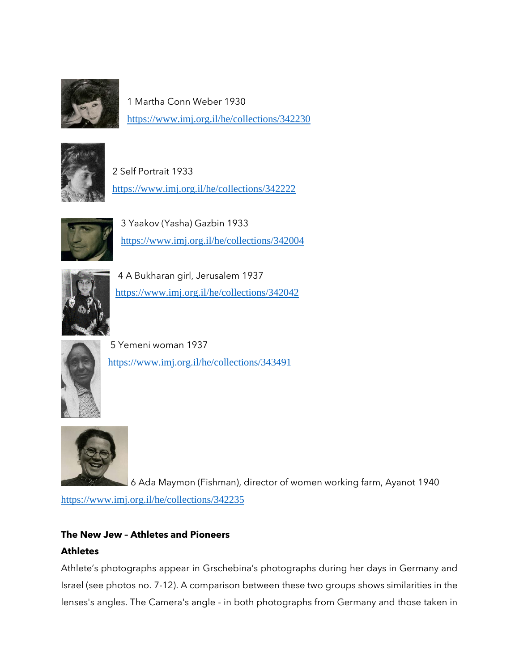

1 Martha Conn Weber 1930 <https://www.imj.org.il/he/collections/342230>



2 Self Portrait 1933 <https://www.imj.org.il/he/collections/342222>



3 Yaakov (Yasha) Gazbin 1933 <https://www.imj.org.il/he/collections/342004>



4 A Bukharan girl, Jerusalem 1937 <https://www.imj.org.il/he/collections/342042>



5 Yemeni woman 1937 <https://www.imj.org.il/he/collections/343491>



6 Ada Maymon (Fishman), director of women working farm, Ayanot 1940

<https://www.imj.org.il/he/collections/342235>

# **The New Jew – Athletes and Pioneers**

# **Athletes**

Athlete's photographs appear in Grschebina's photographs during her days in Germany and Israel (see photos no. 7-12). A comparison between these two groups shows similarities in the lenses's angles. The Camera's angle - in both photographs from Germany and those taken in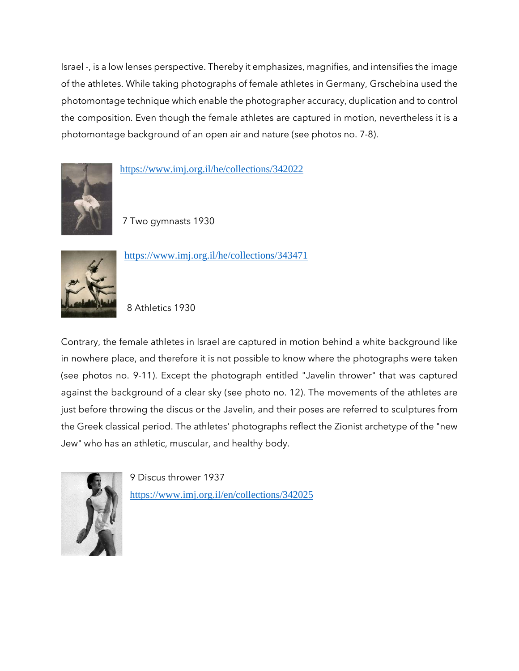Israel -, is a low lenses perspective. Thereby it emphasizes, magnifies, and intensifies the image of the athletes. While taking photographs of female athletes in Germany, Grschebina used the photomontage technique which enable the photographer accuracy, duplication and to control the composition. Even though the female athletes are captured in motion, nevertheless it is a photomontage background of an open air and nature (see photos no. 7-8).



<https://www.imj.org.il/he/collections/342022>

7 Two gymnasts 1930



<https://www.imj.org.il/he/collections/343471>

8 Athletics 1930

Contrary, the female athletes in Israel are captured in motion behind a white background like in nowhere place, and therefore it is not possible to know where the photographs were taken (see photos no. 9-11). Except the photograph entitled "Javelin thrower" that was captured against the background of a clear sky (see photo no. 12). The movements of the athletes are just before throwing the discus or the Javelin, and their poses are referred to sculptures from the Greek classical period. The athletes' photographs reflect the Zionist archetype of the "new Jew" who has an athletic, muscular, and healthy body.



9 Discus thrower 1937 <https://www.imj.org.il/en/collections/342025>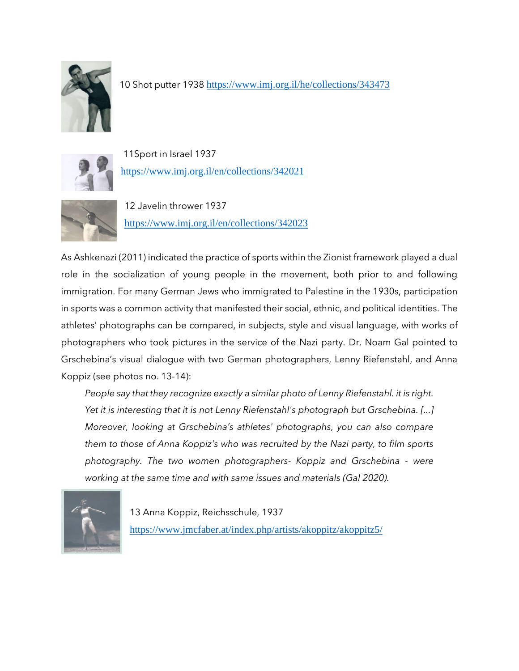

10 Shot putter 1938 <https://www.imj.org.il/he/collections/343473>



11Sport in Israel 1937 <https://www.imj.org.il/en/collections/342021>



12 Javelin thrower 1937 <https://www.imj.org.il/en/collections/342023>

As Ashkenazi (2011) indicated the practice of sports within the Zionist framework played a dual role in the socialization of young people in the movement, both prior to and following immigration. For many German Jews who immigrated to Palestine in the 1930s, participation in sports was a common activity that manifested their social, ethnic, and political identities. The athletes' photographs can be compared, in subjects, style and visual language, with works of photographers who took pictures in the service of the Nazi party. Dr. Noam Gal pointed to Grschebina's visual dialogue with two German photographers, Lenny Riefenstahl, and Anna Koppiz (see photos no. 13-14):

*People say that they recognize exactly a similar photo of Lenny Riefenstahl. it is right. Yet it is interesting that it is not Lenny Riefenstahl's photograph but Grschebina. [...] Moreover, looking at Grschebina's athletes' photographs, you can also compare them to those of Anna Koppiz's who was recruited by the Nazi party, to film sports photography. The two women photographers- Koppiz and Grschebina - were working at the same time and with same issues and materials (Gal 2020).*



13 Anna Koppiz, Reichsschule, 1937 <https://www.jmcfaber.at/index.php/artists/akoppitz/akoppitz5/>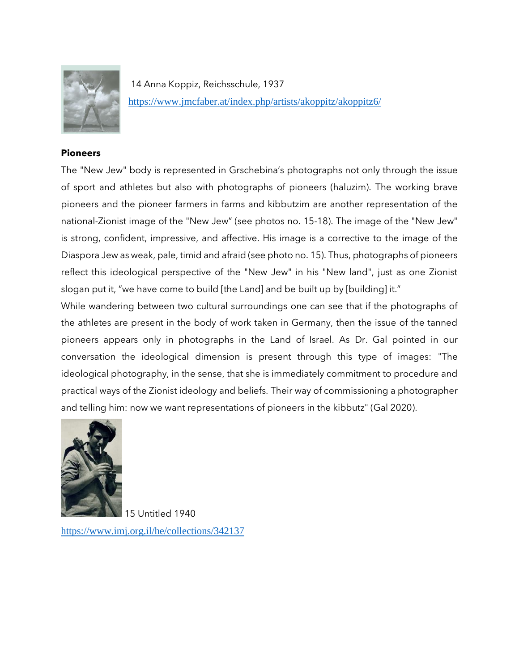

14 Anna Koppiz, Reichsschule, 1937 <https://www.jmcfaber.at/index.php/artists/akoppitz/akoppitz6/>

### **Pioneers**

The "New Jew" body is represented in Grschebina's photographs not only through the issue of sport and athletes but also with photographs of pioneers (haluzim). The working brave pioneers and the pioneer farmers in farms and kibbutzim are another representation of the national-Zionist image of the "New Jew" (see photos no. 15-18). The image of the "New Jew" is strong, confident, impressive, and affective. His image is a corrective to the image of the Diaspora Jew as weak, pale, timid and afraid (see photo no. 15). Thus, photographs of pioneers reflect this ideological perspective of the "New Jew" in his "New land", just as one Zionist slogan put it, "we have come to build [the Land] and be built up by [building] it."

While wandering between two cultural surroundings one can see that if the photographs of the athletes are present in the body of work taken in Germany, then the issue of the tanned pioneers appears only in photographs in the Land of Israel. As Dr. Gal pointed in our conversation the ideological dimension is present through this type of images: "The ideological photography, in the sense, that she is immediately commitment to procedure and practical ways of the Zionist ideology and beliefs. Their way of commissioning a photographer and telling him: now we want representations of pioneers in the kibbutz" (Gal 2020).



15 Untitled 1940 <https://www.imj.org.il/he/collections/342137>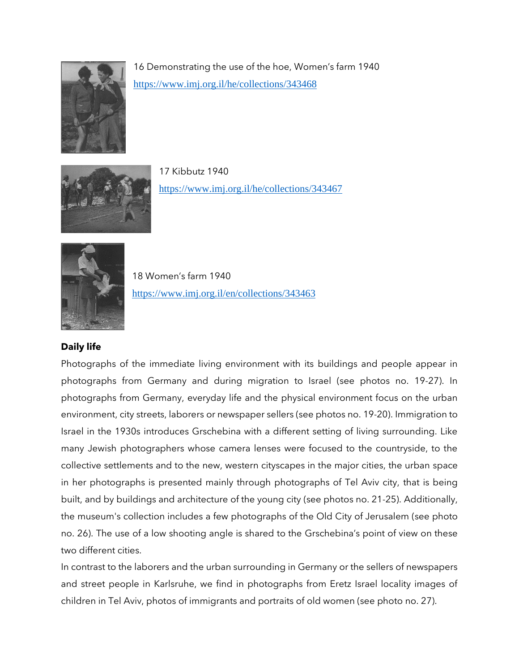

16 Demonstrating the use of the hoe, Women's farm 1940 <https://www.imj.org.il/he/collections/343468>



17 Kibbutz 1940 <https://www.imj.org.il/he/collections/343467>



18 Women's farm 1940 <https://www.imj.org.il/en/collections/343463>

### **Daily life**

Photographs of the immediate living environment with its buildings and people appear in photographs from Germany and during migration to Israel (see photos no. 19-27). In photographs from Germany, everyday life and the physical environment focus on the urban environment, city streets, laborers or newspaper sellers (see photos no. 19-20). Immigration to Israel in the 1930s introduces Grschebina with a different setting of living surrounding. Like many Jewish photographers whose camera lenses were focused to the countryside, to the collective settlements and to the new, western cityscapes in the major cities, the urban space in her photographs is presented mainly through photographs of Tel Aviv city, that is being built, and by buildings and architecture of the young city (see photos no. 21-25). Additionally, the museum's collection includes a few photographs of the Old City of Jerusalem (see photo no. 26). The use of a low shooting angle is shared to the Grschebina's point of view on these two different cities.

In contrast to the laborers and the urban surrounding in Germany or the sellers of newspapers and street people in Karlsruhe, we find in photographs from Eretz Israel locality images of children in Tel Aviv, photos of immigrants and portraits of old women (see photo no. 27).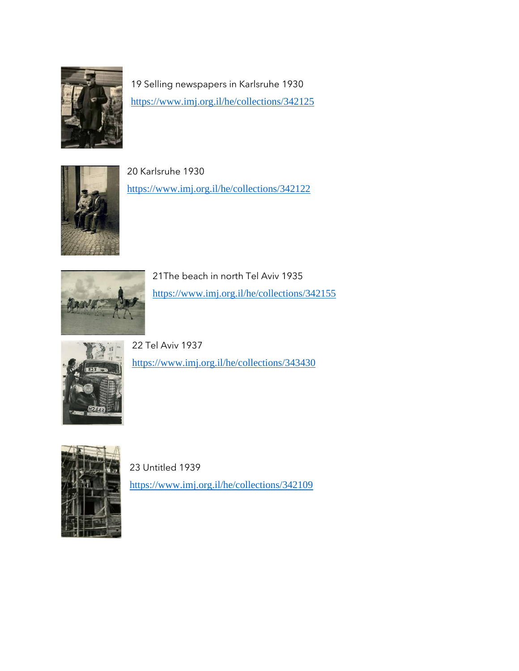

19 Selling newspapers in Karlsruhe 1930 <https://www.imj.org.il/he/collections/342125>



20 Karlsruhe 1930 <https://www.imj.org.il/he/collections/342122>



21The beach in north Tel Aviv 1935 <https://www.imj.org.il/he/collections/342155>



22 Tel Aviv 1937

<https://www.imj.org.il/he/collections/343430>



23 Untitled 1939 <https://www.imj.org.il/he/collections/342109>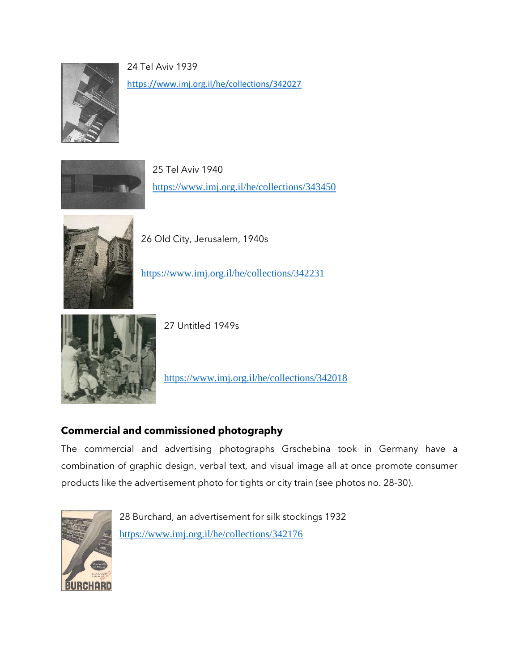

24 Tel Aviv 1939

<https://www.imj.org.il/he/collections/342027>



25 Tel Aviv 1940 <https://www.imj.org.il/he/collections/343450>



26 Old City, Jerusalem, 1940s

<https://www.imj.org.il/he/collections/342231>



27 Untitled 1949s

<https://www.imj.org.il/he/collections/342018>

# **Commercial and commissioned photography**

The commercial and advertising photographs Grschebina took in Germany have a combination of graphic design, verbal text, and visual image all at once promote consumer products like the advertisement photo for tights or city train (see photos no. 28-30).



28 Burchard, an advertisement for silk stockings 1932 <https://www.imj.org.il/he/collections/342176>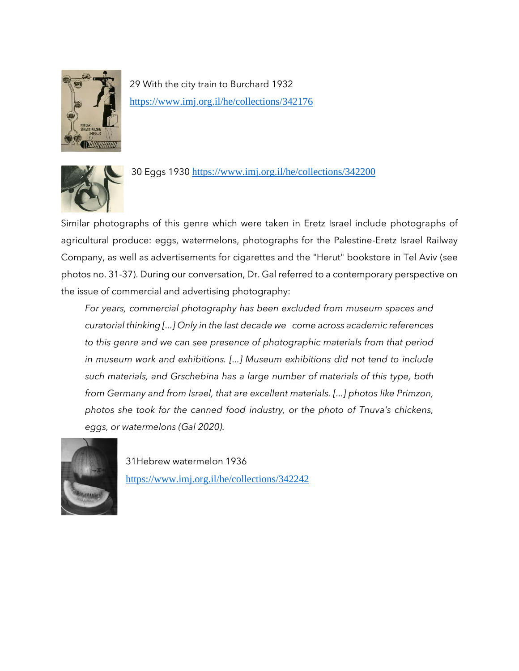

29 With the city train to Burchard 1932 <https://www.imj.org.il/he/collections/342176>



30 Eggs 1930 <https://www.imj.org.il/he/collections/342200>

Similar photographs of this genre which were taken in Eretz Israel include photographs of agricultural produce: eggs, watermelons, photographs for the Palestine-Eretz Israel Railway Company, as well as advertisements for cigarettes and the "Herut" bookstore in Tel Aviv (see photos no. 31-37). During our conversation, Dr. Gal referred to a contemporary perspective on the issue of commercial and advertising photography:

*For years, commercial photography has been excluded from museum spaces and curatorial thinking [...] Only in the last decade we come across academic references to this genre and we can see presence of photographic materials from that period in museum work and exhibitions. [...] Museum exhibitions did not tend to include such materials, and Grschebina has a large number of materials of this type, both from Germany and from Israel, that are excellent materials. [...] photos like Primzon, photos she took for the canned food industry, or the photo of Tnuva's chickens, eggs, or watermelons (Gal 2020).*



31Hebrew watermelon 1936 <https://www.imj.org.il/he/collections/342242>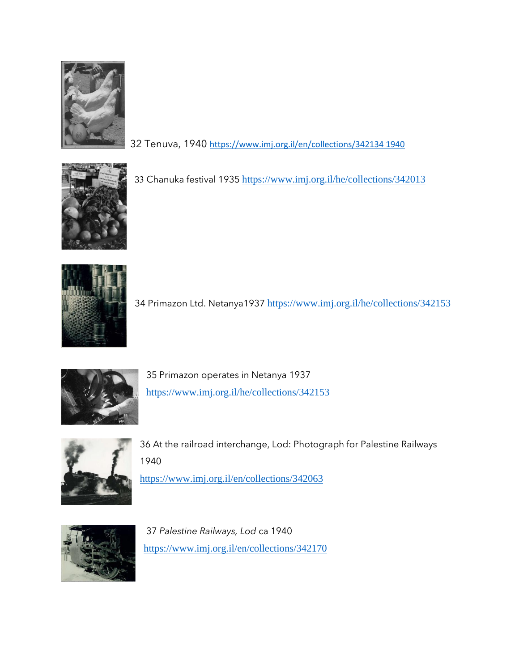

32 Tenuva, 1940 [https://www.imj.org.il/en/collections/342134 1940](https://www.imj.org.il/en/collections/342134%201940)



33 Chanuka festival 1935 <https://www.imj.org.il/he/collections/342013>



34 Primazon Ltd. Netanya1937 <https://www.imj.org.il/he/collections/342153>



35 Primazon operates in Netanya 1937 <https://www.imj.org.il/he/collections/342153>



36 At the railroad interchange, Lod: Photograph for Palestine Railways 1940

<https://www.imj.org.il/en/collections/342063>



37 *Palestine Railways, Lod* ca 1940 <https://www.imj.org.il/en/collections/342170>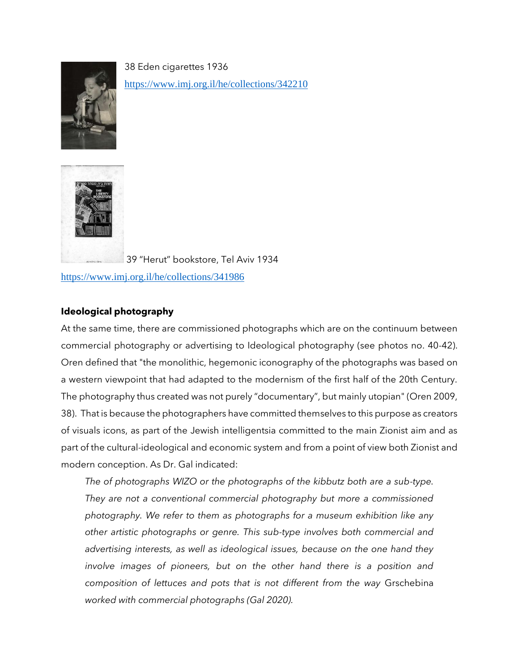

38 Eden cigarettes 1936 <https://www.imj.org.il/he/collections/342210>



39 "Herut" bookstore, Tel Aviv 1934

<https://www.imj.org.il/he/collections/341986>

# **Ideological photography**

At the same time, there are commissioned photographs which are on the continuum between commercial photography or advertising to Ideological photography (see photos no. 40-42). Oren defined that "the monolithic, hegemonic iconography of the photographs was based on a western viewpoint that had adapted to the modernism of the first half of the 20th Century. The photography thus created was not purely "documentary", but mainly utopian" (Oren 2009, 38). That is because the photographers have committed themselves to this purpose as creators of visuals icons, as part of the Jewish intelligentsia committed to the main Zionist aim and as part of the cultural-ideological and economic system and from a point of view both Zionist and modern conception. As Dr. Gal indicated:

*The of photographs WIZO or the photographs of the kibbutz both are a sub-type. They are not a conventional commercial photography but more a commissioned photography. We refer to them as photographs for a museum exhibition like any other artistic photographs or genre. This sub-type involves both commercial and advertising interests, as well as ideological issues, because on the one hand they involve images of pioneers, but on the other hand there is a position and composition of lettuces and pots that is not different from the way* Grschebina *worked with commercial photographs (Gal 2020).*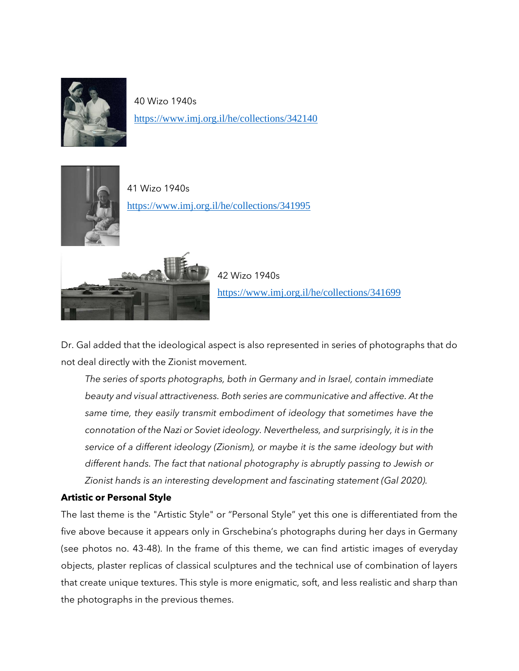

40 Wizo 1940s <https://www.imj.org.il/he/collections/342140>



41 Wizo 1940s <https://www.imj.org.il/he/collections/341995>



42 Wizo 1940s <https://www.imj.org.il/he/collections/341699>

Dr. Gal added that the ideological aspect is also represented in series of photographs that do not deal directly with the Zionist movement.

*The series of sports photographs, both in Germany and in Israel, contain immediate beauty and visual attractiveness. Both series are communicative and affective. At the same time, they easily transmit embodiment of ideology that sometimes have the connotation of the Nazi or Soviet ideology. Nevertheless, and surprisingly, it is in the service of a different ideology (Zionism), or maybe it is the same ideology but with different hands. The fact that national photography is abruptly passing to Jewish or Zionist hands is an interesting development and fascinating statement (Gal 2020).*

### **Artistic or Personal Style**

The last theme is the "Artistic Style" or "Personal Style" yet this one is differentiated from the five above because it appears only in Grschebina's photographs during her days in Germany (see photos no. 43-48). In the frame of this theme, we can find artistic images of everyday objects, plaster replicas of classical sculptures and the technical use of combination of layers that create unique textures. This style is more enigmatic, soft, and less realistic and sharp than the photographs in the previous themes.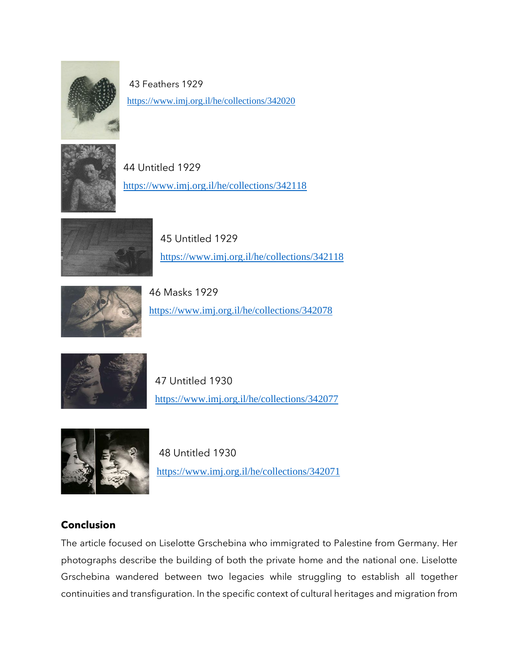

43 Feathers 1929 <https://www.imj.org.il/he/collections/342020>



44 Untitled 1929 <https://www.imj.org.il/he/collections/342118>



45 Untitled 1929 <https://www.imj.org.il/he/collections/342118>



46 Masks 1929 <https://www.imj.org.il/he/collections/342078>



47 Untitled 1930 <https://www.imj.org.il/he/collections/342077>



48 Untitled 1930 <https://www.imj.org.il/he/collections/342071>

# **Conclusion**

The article focused on Liselotte Grschebina who immigrated to Palestine from Germany. Her photographs describe the building of both the private home and the national one. Liselotte Grschebina wandered between two legacies while struggling to establish all together continuities and transfiguration. In the specific context of cultural heritages and migration from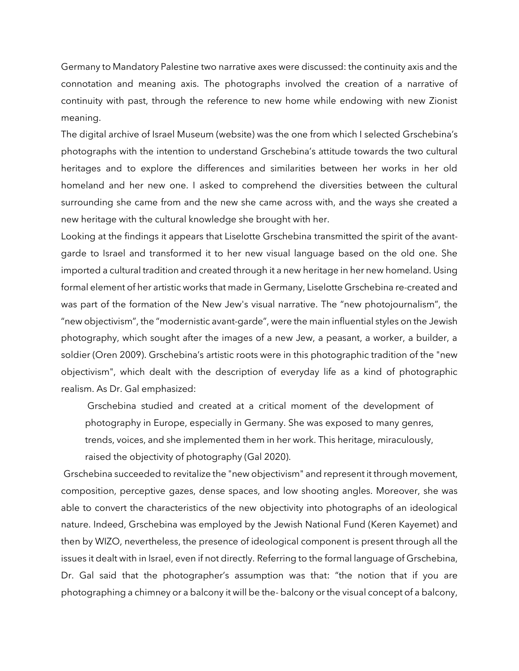Germany to Mandatory Palestine two narrative axes were discussed: the continuity axis and the connotation and meaning axis. The photographs involved the creation of a narrative of continuity with past, through the reference to new home while endowing with new Zionist meaning.

The digital archive of Israel Museum (website) was the one from which I selected Grschebina's photographs with the intention to understand Grschebina's attitude towards the two cultural heritages and to explore the differences and similarities between her works in her old homeland and her new one. I asked to comprehend the diversities between the cultural surrounding she came from and the new she came across with, and the ways she created a new heritage with the cultural knowledge she brought with her.

Looking at the findings it appears that Liselotte Grschebina transmitted the spirit of the avantgarde to Israel and transformed it to her new visual language based on the old one. She imported a cultural tradition and created through it a new heritage in her new homeland. Using formal element of her artistic works that made in Germany, Liselotte Grschebina re-created and was part of the formation of the New Jew's visual narrative. The "new photojournalism", the "new objectivism", the "modernistic avant-garde", were the main influential styles on the Jewish photography, which sought after the images of a new Jew, a peasant, a worker, a builder, a soldier (Oren 2009). Grschebina's artistic roots were in this photographic tradition of the "new objectivism", which dealt with the description of everyday life as a kind of photographic realism. As Dr. Gal emphasized:

Grschebina studied and created at a critical moment of the development of photography in Europe, especially in Germany. She was exposed to many genres, trends, voices, and she implemented them in her work. This heritage, miraculously, raised the objectivity of photography (Gal 2020).

Grschebina succeeded to revitalize the "new objectivism" and represent it through movement, composition, perceptive gazes, dense spaces, and low shooting angles. Moreover, she was able to convert the characteristics of the new objectivity into photographs of an ideological nature. Indeed, Grschebina was employed by the Jewish National Fund (Keren Kayemet) and then by WIZO, nevertheless, the presence of ideological component is present through all the issues it dealt with in Israel, even if not directly. Referring to the formal language of Grschebina, Dr. Gal said that the photographer's assumption was that: "the notion that if you are photographing a chimney or a balcony it will be the- balcony or the visual concept of a balcony,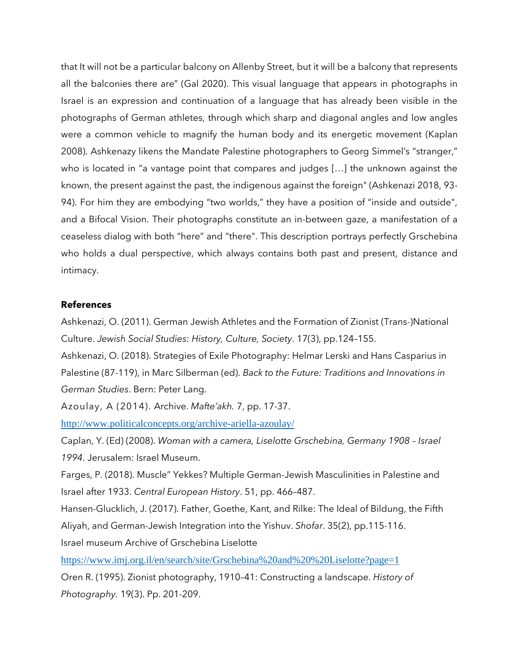that It will not be a particular balcony on Allenby Street, but it will be a balcony that represents all the balconies there are" (Gal 2020). This visual language that appears in photographs in Israel is an expression and continuation of a language that has already been visible in the photographs of German athletes, through which sharp and diagonal angles and low angles were a common vehicle to magnify the human body and its energetic movement (Kaplan 2008). Ashkenazy likens the Mandate Palestine photographers to Georg Simmel's "stranger," who is located in "a vantage point that compares and judges […] the unknown against the known, the present against the past, the indigenous against the foreign" (Ashkenazi 2018, 93- 94). For him they are embodying "two worlds," they have a position of "inside and outside", and a Bifocal Vision. Their photographs constitute an in-between gaze, a manifestation of a ceaseless dialog with both "here" and "there". This description portrays perfectly Grschebina who holds a dual perspective, which always contains both past and present, distance and intimacy.

#### **References**

Ashkenazi, O. (2011). German Jewish Athletes and the Formation of Zionist (Trans-)National Culture. *Jewish Social Studies: History, Culture, Society*. 17(3), pp.124–155.

Ashkenazi, O. (2018). Strategies of Exile Photography: Helmar Lerski and Hans Casparius in Palestine (87-119), in Marc Silberman (ed). *Back to the Future: Traditions and Innovations in German Studies*. Bern: Peter Lang.

Azoulay, A (2014). Archive. *Mafte'akh.* 7, pp. 17-37.

<http://www.politicalconcepts.org/archive-ariella-azoulay/>

Caplan, Y. (Ed) (2008). *Woman with a camera, Liselotte Grschebina, Germany 1908 – Israel 1994*. Jerusalem: Israel Museum.

Farges, P. (2018). Muscle" Yekkes? Multiple German-Jewish Masculinities in Palestine and Israel after 1933. *Central European History*. 51, pp. 466–487.

Hansen-Glucklich, J. (2017). Father, Goethe, Kant, and Rilke: The Ideal of Bildung, the Fifth Aliyah, and German-Jewish Integration into the Yishuv. *Shofar*. 35(2), pp.115-116. Israel museum Archive of Grschebina Liselotte

<https://www.imj.org.il/en/search/site/Grschebina%20and%20%20Liselotte?page=1>

Oren R. (1995). Zionist photography, 1910–41: Constructing a landscape. *History of Photography.* 19(3). Pp. 201-209.